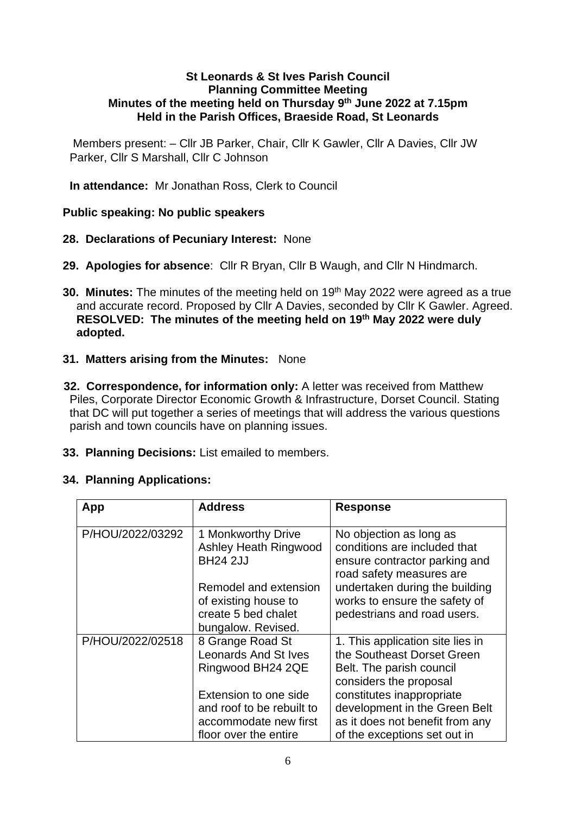## **St Leonards & St Ives Parish Council Planning Committee Meeting Minutes of the meeting held on Thursday 9 th June 2022 at 7.15pm Held in the Parish Offices, Braeside Road, St Leonards**

Members present: – Cllr JB Parker, Chair, Cllr K Gawler, Cllr A Davies, Cllr JW Parker, Cllr S Marshall, Cllr C Johnson

**In attendance:** Mr Jonathan Ross, Clerk to Council

## **Public speaking: No public speakers**

- **28. Declarations of Pecuniary Interest:** None
- **29. Apologies for absence**: Cllr R Bryan, Cllr B Waugh, and Cllr N Hindmarch.
- **30. Minutes:** The minutes of the meeting held on 19<sup>th</sup> May 2022 were agreed as a true and accurate record. Proposed by Cllr A Davies, seconded by Cllr K Gawler. Agreed. **RESOLVED: The minutes of the meeting held on 19th May 2022 were duly adopted.**
- **31. Matters arising from the Minutes:** None
- **32. Correspondence, for information only:** A letter was received from Matthew Piles, Corporate Director Economic Growth & Infrastructure, Dorset Council. Stating that DC will put together a series of meetings that will address the various questions parish and town councils have on planning issues.
- **33. Planning Decisions:** List emailed to members.

## **34. Planning Applications:**

| App              | <b>Address</b>                                                                                       | <b>Response</b>                                                                                                               |
|------------------|------------------------------------------------------------------------------------------------------|-------------------------------------------------------------------------------------------------------------------------------|
| P/HOU/2022/03292 | 1 Monkworthy Drive<br>Ashley Heath Ringwood<br><b>BH24 2JJ</b>                                       | No objection as long as<br>conditions are included that<br>ensure contractor parking and<br>road safety measures are          |
|                  | Remodel and extension<br>of existing house to<br>create 5 bed chalet<br>bungalow. Revised.           | undertaken during the building<br>works to ensure the safety of<br>pedestrians and road users.                                |
| P/HOU/2022/02518 | 8 Grange Road St<br><b>Leonards And St Ives</b><br>Ringwood BH24 2QE                                 | 1. This application site lies in<br>the Southeast Dorset Green<br>Belt. The parish council<br>considers the proposal          |
|                  | Extension to one side<br>and roof to be rebuilt to<br>accommodate new first<br>floor over the entire | constitutes inappropriate<br>development in the Green Belt<br>as it does not benefit from any<br>of the exceptions set out in |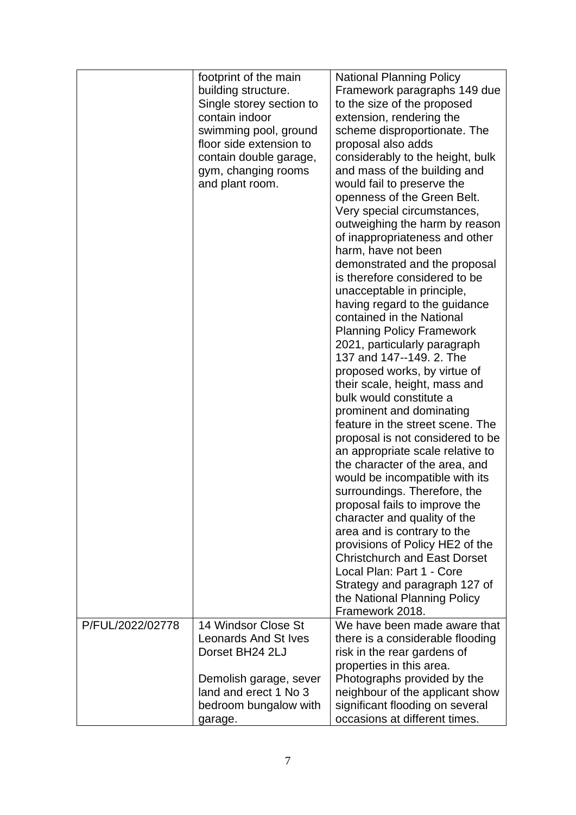|                  | footprint of the main       | <b>National Planning Policy</b>     |
|------------------|-----------------------------|-------------------------------------|
|                  | building structure.         | Framework paragraphs 149 due        |
|                  | Single storey section to    | to the size of the proposed         |
|                  | contain indoor              | extension, rendering the            |
|                  | swimming pool, ground       | scheme disproportionate. The        |
|                  | floor side extension to     | proposal also adds                  |
|                  | contain double garage,      | considerably to the height, bulk    |
|                  | gym, changing rooms         | and mass of the building and        |
|                  | and plant room.             | would fail to preserve the          |
|                  |                             |                                     |
|                  |                             | openness of the Green Belt.         |
|                  |                             | Very special circumstances,         |
|                  |                             | outweighing the harm by reason      |
|                  |                             | of inappropriateness and other      |
|                  |                             | harm, have not been                 |
|                  |                             | demonstrated and the proposal       |
|                  |                             | is therefore considered to be       |
|                  |                             | unacceptable in principle,          |
|                  |                             | having regard to the guidance       |
|                  |                             | contained in the National           |
|                  |                             | <b>Planning Policy Framework</b>    |
|                  |                             | 2021, particularly paragraph        |
|                  |                             | 137 and 147--149. 2. The            |
|                  |                             | proposed works, by virtue of        |
|                  |                             | their scale, height, mass and       |
|                  |                             | bulk would constitute a             |
|                  |                             | prominent and dominating            |
|                  |                             | feature in the street scene. The    |
|                  |                             | proposal is not considered to be    |
|                  |                             | an appropriate scale relative to    |
|                  |                             | the character of the area, and      |
|                  |                             | would be incompatible with its      |
|                  |                             | surroundings. Therefore, the        |
|                  |                             | proposal fails to improve the       |
|                  |                             | character and quality of the        |
|                  |                             | area and is contrary to the         |
|                  |                             | provisions of Policy HE2 of the     |
|                  |                             | <b>Christchurch and East Dorset</b> |
|                  |                             | Local Plan: Part 1 - Core           |
|                  |                             | Strategy and paragraph 127 of       |
|                  |                             | the National Planning Policy        |
|                  |                             | Framework 2018.                     |
| P/FUL/2022/02778 | 14 Windsor Close St         | We have been made aware that        |
|                  |                             |                                     |
|                  | <b>Leonards And St Ives</b> | there is a considerable flooding    |
|                  | Dorset BH24 2LJ             | risk in the rear gardens of         |
|                  |                             | properties in this area.            |
|                  | Demolish garage, sever      | Photographs provided by the         |
|                  | land and erect 1 No 3       | neighbour of the applicant show     |
|                  | bedroom bungalow with       | significant flooding on several     |
|                  | garage.                     | occasions at different times.       |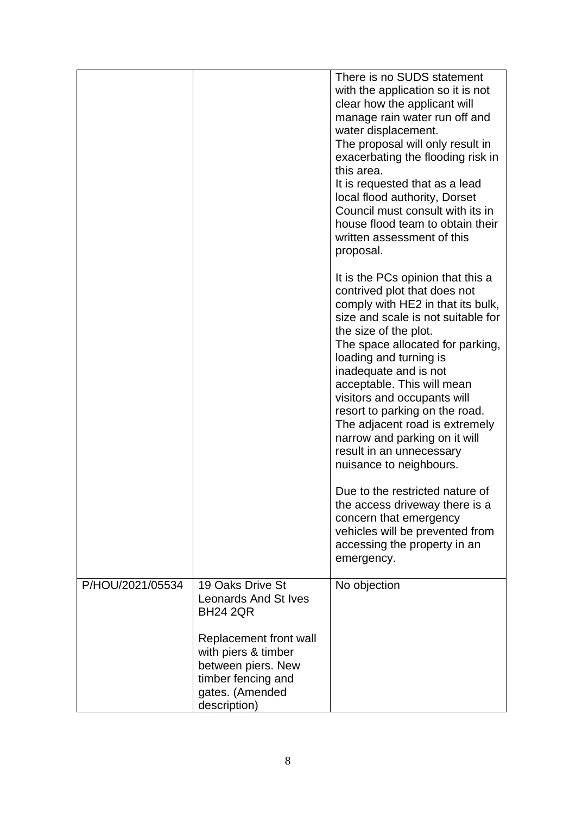|                  |                                                                                                                                                                             | There is no SUDS statement<br>with the application so it is not<br>clear how the applicant will<br>manage rain water run off and<br>water displacement.<br>The proposal will only result in<br>exacerbating the flooding risk in<br>this area.<br>It is requested that as a lead<br>local flood authority, Dorset<br>Council must consult with its in<br>house flood team to obtain their<br>written assessment of this<br>proposal.                                                  |
|------------------|-----------------------------------------------------------------------------------------------------------------------------------------------------------------------------|---------------------------------------------------------------------------------------------------------------------------------------------------------------------------------------------------------------------------------------------------------------------------------------------------------------------------------------------------------------------------------------------------------------------------------------------------------------------------------------|
|                  |                                                                                                                                                                             | It is the PCs opinion that this a<br>contrived plot that does not<br>comply with HE2 in that its bulk,<br>size and scale is not suitable for<br>the size of the plot.<br>The space allocated for parking,<br>loading and turning is<br>inadequate and is not<br>acceptable. This will mean<br>visitors and occupants will<br>resort to parking on the road.<br>The adjacent road is extremely<br>narrow and parking on it will<br>result in an unnecessary<br>nuisance to neighbours. |
|                  |                                                                                                                                                                             | Due to the restricted nature of<br>the access driveway there is a<br>concern that emergency<br>vehicles will be prevented from<br>accessing the property in an<br>emergency.                                                                                                                                                                                                                                                                                                          |
| P/HOU/2021/05534 | 19 Oaks Drive St<br>Leonards And St Ives<br><b>BH24 2QR</b><br>Replacement front wall<br>with piers & timber<br>between piers. New<br>timber fencing and<br>gates. (Amended | No objection                                                                                                                                                                                                                                                                                                                                                                                                                                                                          |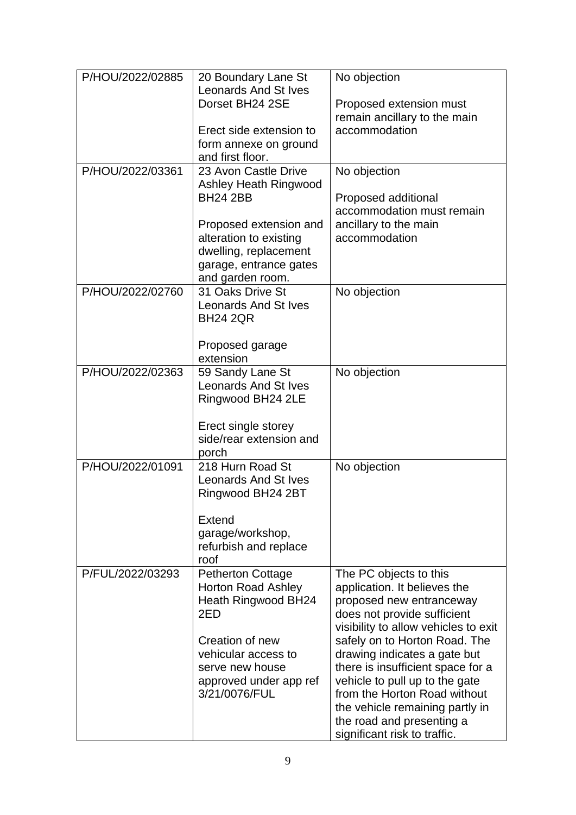| P/HOU/2022/02885 | 20 Boundary Lane St<br><b>Leonards And St Ives</b><br>Dorset BH24 2SE                                                                                                                       | No objection<br>Proposed extension must                                                                                                                                                                                                                                                                                                                              |
|------------------|---------------------------------------------------------------------------------------------------------------------------------------------------------------------------------------------|----------------------------------------------------------------------------------------------------------------------------------------------------------------------------------------------------------------------------------------------------------------------------------------------------------------------------------------------------------------------|
|                  |                                                                                                                                                                                             | remain ancillary to the main                                                                                                                                                                                                                                                                                                                                         |
|                  | Erect side extension to<br>form annexe on ground<br>and first floor.                                                                                                                        | accommodation                                                                                                                                                                                                                                                                                                                                                        |
| P/HOU/2022/03361 | 23 Avon Castle Drive<br>Ashley Heath Ringwood<br><b>BH24 2BB</b>                                                                                                                            | No objection<br>Proposed additional                                                                                                                                                                                                                                                                                                                                  |
|                  | Proposed extension and<br>alteration to existing<br>dwelling, replacement<br>garage, entrance gates<br>and garden room.                                                                     | accommodation must remain<br>ancillary to the main<br>accommodation                                                                                                                                                                                                                                                                                                  |
| P/HOU/2022/02760 | 31 Oaks Drive St<br><b>Leonards And St Ives</b><br><b>BH24 2QR</b><br>Proposed garage<br>extension                                                                                          | No objection                                                                                                                                                                                                                                                                                                                                                         |
| P/HOU/2022/02363 | 59 Sandy Lane St<br><b>Leonards And St Ives</b><br>Ringwood BH24 2LE<br>Erect single storey<br>side/rear extension and<br>porch                                                             | No objection                                                                                                                                                                                                                                                                                                                                                         |
| P/HOU/2022/01091 | 218 Hurn Road St<br><b>Leonards And St Ives</b><br>Ringwood BH24 2BT<br>Extend<br>garage/workshop,<br>refurbish and replace<br>roof                                                         | No objection                                                                                                                                                                                                                                                                                                                                                         |
| P/FUL/2022/03293 | <b>Petherton Cottage</b><br><b>Horton Road Ashley</b><br>Heath Ringwood BH24<br>2ED<br>Creation of new<br>vehicular access to<br>serve new house<br>approved under app ref<br>3/21/0076/FUL | The PC objects to this<br>application. It believes the<br>proposed new entranceway<br>does not provide sufficient<br>visibility to allow vehicles to exit<br>safely on to Horton Road. The<br>drawing indicates a gate but<br>there is insufficient space for a<br>vehicle to pull up to the gate<br>from the Horton Road without<br>the vehicle remaining partly in |
|                  |                                                                                                                                                                                             | the road and presenting a<br>significant risk to traffic.                                                                                                                                                                                                                                                                                                            |